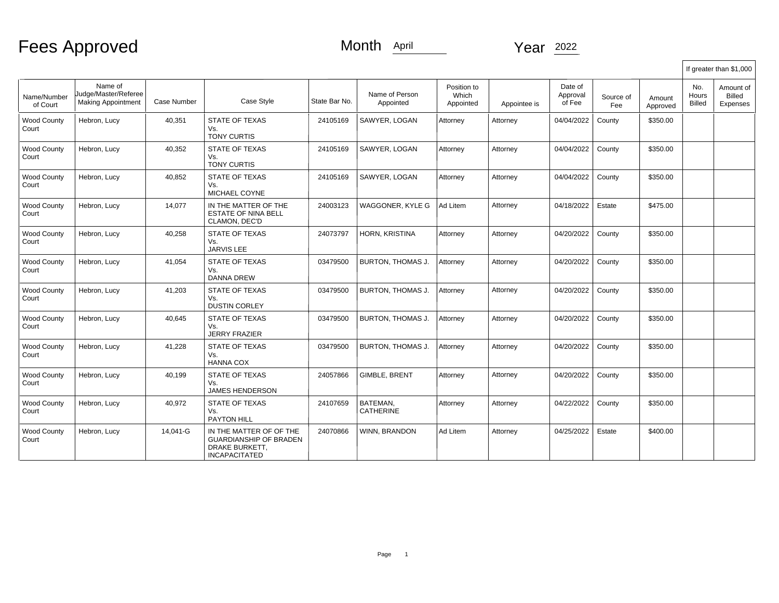Fees Approved

## Month April Year 2022

|                             |                                                              |             |                                                                                                    |               |                              |                                   |              |                               |                  |                    | If greater than \$1,000 |                                        |  |  |  |
|-----------------------------|--------------------------------------------------------------|-------------|----------------------------------------------------------------------------------------------------|---------------|------------------------------|-----------------------------------|--------------|-------------------------------|------------------|--------------------|-------------------------|----------------------------------------|--|--|--|
| Name/Number<br>of Court     | Name of<br>Judge/Master/Referee<br><b>Making Appointment</b> | Case Number | Case Style                                                                                         | State Bar No. | Name of Person<br>Appointed  | Position to<br>Which<br>Appointed | Appointee is | Date of<br>Approval<br>of Fee | Source of<br>Fee | Amount<br>Approved | No.<br>Hours<br>Billed  | Amount of<br>Billed<br><b>Expenses</b> |  |  |  |
| <b>Wood County</b><br>Court | Hebron, Lucy                                                 | 40,351      | <b>STATE OF TEXAS</b><br>Vs.<br><b>TONY CURTIS</b>                                                 | 24105169      | SAWYER, LOGAN                | Attorney                          | Attorney     | 04/04/2022                    | County           | \$350.00           |                         |                                        |  |  |  |
| <b>Wood County</b><br>Court | Hebron, Lucy                                                 | 40,352      | STATE OF TEXAS<br>Vs.<br><b>TONY CURTIS</b>                                                        | 24105169      | SAWYER, LOGAN                | Attorney                          | Attorney     | 04/04/2022                    | County           | \$350.00           |                         |                                        |  |  |  |
| <b>Wood County</b><br>Court | Hebron, Lucy                                                 | 40,852      | STATE OF TEXAS<br>Vs.<br>MICHAEL COYNE                                                             | 24105169      | SAWYER, LOGAN                | Attorney                          | Attorney     | 04/04/2022                    | County           | \$350.00           |                         |                                        |  |  |  |
| <b>Wood County</b><br>Court | Hebron, Lucy                                                 | 14,077      | IN THE MATTER OF THE<br><b>ESTATE OF NINA BELL</b><br>CLAMON, DEC'D                                | 24003123      | WAGGONER, KYLE G             | Ad Litem                          | Attorney     | 04/18/2022                    | Estate           | \$475.00           |                         |                                        |  |  |  |
| <b>Wood County</b><br>Court | Hebron, Lucy                                                 | 40.258      | <b>STATE OF TEXAS</b><br>Vs.<br><b>JARVIS LEE</b>                                                  | 24073797      | HORN, KRISTINA               | Attorney                          | Attorney     | 04/20/2022                    | County           | \$350.00           |                         |                                        |  |  |  |
| <b>Wood County</b><br>Court | Hebron, Lucy                                                 | 41,054      | <b>STATE OF TEXAS</b><br>Vs.<br><b>DANNA DREW</b>                                                  | 03479500      | BURTON, THOMAS J.            | Attorney                          | Attorney     | 04/20/2022                    | County           | \$350.00           |                         |                                        |  |  |  |
| <b>Wood County</b><br>Court | Hebron, Lucy                                                 | 41,203      | <b>STATE OF TEXAS</b><br>Vs.<br><b>DUSTIN CORLEY</b>                                               | 03479500      | BURTON, THOMAS J.            | Attorney                          | Attorney     | 04/20/2022                    | County           | \$350.00           |                         |                                        |  |  |  |
| <b>Wood County</b><br>Court | Hebron, Lucy                                                 | 40,645      | <b>STATE OF TEXAS</b><br>Vs.<br><b>JERRY FRAZIER</b>                                               | 03479500      | <b>BURTON, THOMAS J.</b>     | Attorney                          | Attorney     | 04/20/2022                    | County           | \$350.00           |                         |                                        |  |  |  |
| Wood County<br>Court        | Hebron, Lucy                                                 | 41,228      | <b>STATE OF TEXAS</b><br>Vs.<br><b>HANNA COX</b>                                                   | 03479500      | BURTON, THOMAS J.            | Attorney                          | Attorney     | 04/20/2022                    | County           | \$350.00           |                         |                                        |  |  |  |
| <b>Wood County</b><br>Court | Hebron, Lucy                                                 | 40,199      | STATE OF TEXAS<br>Vs.<br><b>JAMES HENDERSON</b>                                                    | 24057866      | GIMBLE, BRENT                | Attorney                          | Attorney     | 04/20/2022                    | County           | \$350.00           |                         |                                        |  |  |  |
| <b>Wood County</b><br>Court | Hebron, Lucy                                                 | 40.972      | <b>STATE OF TEXAS</b><br>Vs.<br><b>PAYTON HILL</b>                                                 | 24107659      | BATEMAN.<br><b>CATHERINE</b> | Attorney                          | Attorney     | 04/22/2022                    | County           | \$350.00           |                         |                                        |  |  |  |
| <b>Wood County</b><br>Court | Hebron, Lucy                                                 | 14.041-G    | IN THE MATTER OF OF THE<br><b>GUARDIANSHIP OF BRADEN</b><br>DRAKE BURKETT.<br><b>INCAPACITATED</b> | 24070866      | WINN, BRANDON                | Ad Litem                          | Attorney     | 04/25/2022                    | Estate           | \$400.00           |                         |                                        |  |  |  |